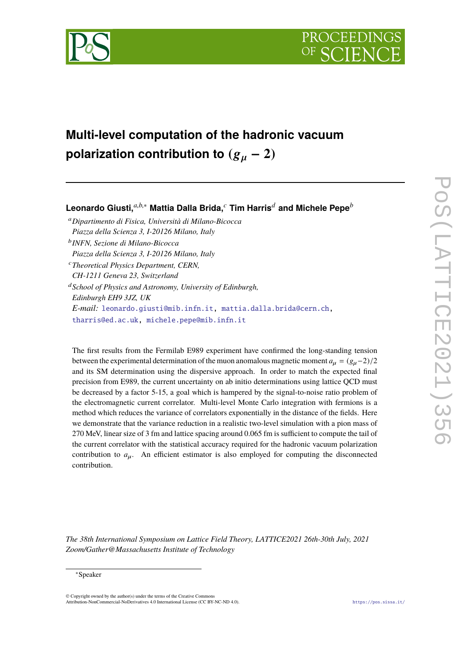

# **Multi-level computation of the hadronic vacuum polarization contribution to**  $(g_{\mu} - 2)$

# **Leonardo Giusti,***a*,*b*,<sup>∗</sup> **Mattia Dalla Brida,***<sup>c</sup>* **Tim Harris***<sup>d</sup>* **and Michele Pepe***<sup>b</sup>*

- <sup>a</sup>*Dipartimento di Fisica, Università di Milano-Bicocca Piazza della Scienza 3, I-20126 Milano, Italy*
- b *INFN, Sezione di Milano-Bicocca Piazza della Scienza 3, I-20126 Milano, Italy*
- <sup>c</sup>*Theoretical Physics Department, CERN, CH-1211 Geneva 23, Switzerland*

<sup>d</sup>*School of Physics and Astronomy, University of Edinburgh, Edinburgh EH9 3JZ, UK E-mail:* [leonardo.giusti@mib.infn.it,](mailto:leonardo.giusti@mib.infn.it) [mattia.dalla.brida@cern.ch,](mailto:mattia.dalla.brida@cern.ch) [tharris@ed.ac.uk,](mailto:tharris@ed.ac.uk) [michele.pepe@mib.infn.it](mailto:michele.pepe@mib.infn.it)

The first results from the Fermilab E989 experiment have confirmed the long-standing tension between the experimental determination of the muon anomalous magnetic moment  $a<sub>u</sub> = (g<sub>u</sub> - 2)/2$ and its SM determination using the dispersive approach. In order to match the expected final precision from E989, the current uncertainty on ab initio determinations using lattice QCD must be decreased by a factor 5-15, a goal which is hampered by the signal-to-noise ratio problem of the electromagnetic current correlator. Multi-level Monte Carlo integration with fermions is a method which reduces the variance of correlators exponentially in the distance of the fields. Here we demonstrate that the variance reduction in a realistic two-level simulation with a pion mass of 270 MeV, linear size of 3 fm and lattice spacing around 0.065 fm is sufficient to compute the tail of the current correlator with the statistical accuracy required for the hadronic vacuum polarization contribution to  $a_{\mu}$ . An efficient estimator is also employed for computing the disconnected contribution.

*The 38th International Symposium on Lattice Field Theory, LATTICE2021 26th-30th July, 2021 Zoom/Gather@Massachusetts Institute of Technology*

<sup>∗</sup>Speaker

<sup>©</sup> Copyright owned by the author(s) under the terms of the Creative Commons Attribution-NonCommercial-NoDerivatives 4.0 International License (CC BY-NC-ND 4.0). <https://pos.sissa.it/>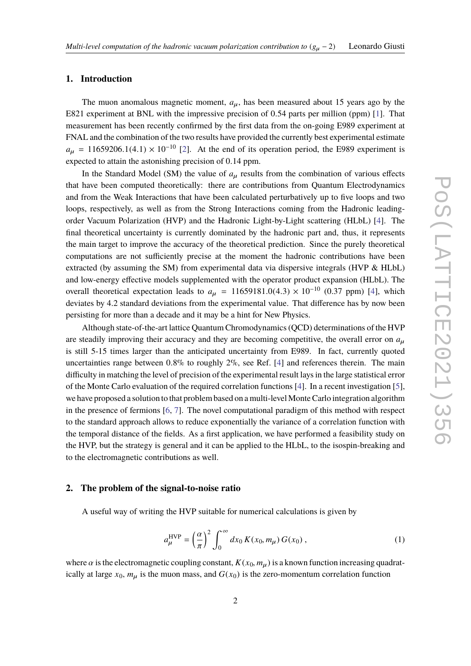#### **1. Introduction**

The muon anomalous magnetic moment,  $a_{\mu}$ , has been measured about 15 years ago by the E821 experiment at BNL with the impressive precision of <sup>0</sup>.<sup>54</sup> parts per million (ppm) [\[1\]](#page-7-0). That measurement has been recently confirmed by the first data from the on-going E989 experiment at FNAL and the combination of the two results have provided the currently best experimental estimate  $a_{\mu}$  = 11659206.1(4.1) × 10<sup>-10</sup> [\[2\]](#page-7-1). At the end of its operation period, the E989 experiment is expected to attain the astonishing precision of <sup>0</sup>.<sup>14</sup> ppm.

In the Standard Model (SM) the value of  $a<sub>u</sub>$  results from the combination of various effects that have been computed theoretically: there are contributions from Quantum Electrodynamics and from the Weak Interactions that have been calculated perturbatively up to five loops and two loops, respectively, as well as from the Strong Interactions coming from the Hadronic leadingorder Vacuum Polarization (HVP) and the Hadronic Light-by-Light scattering (HLbL) [\[4\]](#page-7-2). The final theoretical uncertainty is currently dominated by the hadronic part and, thus, it represents the main target to improve the accuracy of the theoretical prediction. Since the purely theoretical computations are not sufficiently precise at the moment the hadronic contributions have been extracted (by assuming the SM) from experimental data via dispersive integrals (HVP & HLbL) and low-energy effective models supplemented with the operator product expansion (HLbL). The overall theoretical expectation leads to  $a_{\mu} = 11659181.0(4.3) \times 10^{-10}$  (0.37 ppm) [\[4\]](#page-7-2), which deviates by 4.2 standard deviations from the experimental value. That difference has by now been persisting for more than a decade and it may be a hint for New Physics.

Although state-of-the-art lattice Quantum Chromodynamics (QCD) determinations of the HVP are steadily improving their accuracy and they are becoming competitive, the overall error on  $a_{\mu}$ is still 5-15 times larger than the anticipated uncertainty from E989. In fact, currently quoted uncertainties range between <sup>0</sup>.8% to roughly 2%, see Ref. [\[4\]](#page-7-2) and references therein. The main difficulty in matching the level of precision of the experimental result lays in the large statistical error of the Monte Carlo evaluation of the required correlation functions [\[4\]](#page-7-2). In a recent investigation [\[5\]](#page-7-3), we have proposed a solution to that problem based on a multi-level Monte Carlo integration algorithm in the presence of fermions [\[6,](#page-7-4) [7\]](#page-7-5). The novel computational paradigm of this method with respect to the standard approach allows to reduce exponentially the variance of a correlation function with the temporal distance of the fields. As a first application, we have performed a feasibility study on the HVP, but the strategy is general and it can be applied to the HLbL, to the isospin-breaking and to the electromagnetic contributions as well.

# **2. The problem of the signal-to-noise ratio**

A useful way of writing the HVP suitable for numerical calculations is given by

<span id="page-1-0"></span>
$$
a_{\mu}^{\text{HVP}} = \left(\frac{\alpha}{\pi}\right)^2 \int_0^\infty dx_0 \, K(x_0, m_\mu) \, G(x_0) \,,\tag{1}
$$

where  $\alpha$  is the electromagnetic coupling constant,  $K(x_0, m_u)$  is a known function increasing quadratically at large  $x_0$ ,  $m_\mu$  is the muon mass, and  $G(x_0)$  is the zero-momentum correlation function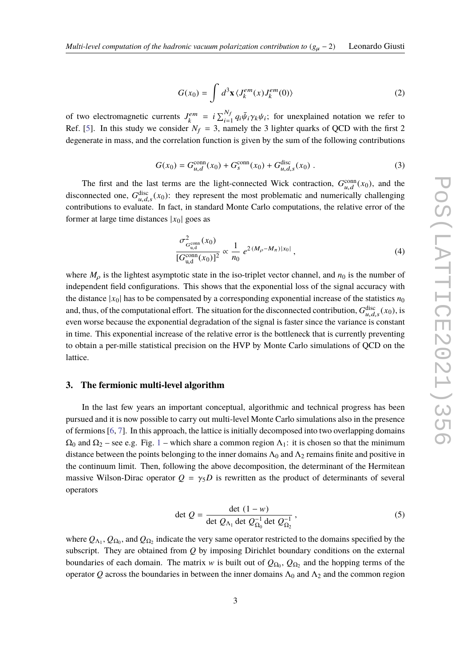<span id="page-2-2"></span>
$$
G(x_0) = \int d^3 \mathbf{x} \langle J_k^{em}(x) J_k^{em}(0) \rangle
$$
 (2)

of two electromagnetic currents  $J_k^{em} = i \sum_{i=1}^{N_f} q_i \bar{\psi}_i \gamma_k \psi_i$ ; for unexplained notation we refer to  $R_f$  f  $[5]$ . In this study we consider  $N_f = 3$ , namely the 3 lighter querks of OCD with the first 3 Ref. [\[5\]](#page-7-3). In this study we consider  $N_f = 3$ , namely the 3 lighter quarks of QCD with the first 2 degenerate in mass, and the correlation function is given by the sum of the following contributions

$$
G(x_0) = G_{u,d}^{\text{conn}}(x_0) + G_s^{\text{conn}}(x_0) + G_{u,d,s}^{\text{disc}}(x_0) \tag{3}
$$

The first and the last terms are the light-connected Wick contraction,  $G_{u,d}^{\text{conn}}(x_0)$ , and the disconnected one,  $G_{ud}^{disc}(x_0)$ : they represent the most problematic and numerically challenging unsconnected one,  $\sigma_{\mu,d,s}(x_0)$ . They represent the most problemate and numerically enancinging<br>contributions to evaluate. In fact, in standard Monte Carlo computations, the relative error of the former at large time distances  $|x_0|$  goes as

<span id="page-2-1"></span>
$$
\frac{\sigma_{G_{u,d}^{\text{conn}}}(x_0)}{[G_{u,d}^{\text{conn}}(x_0)]^2} \propto \frac{1}{n_0} e^{2(M_\rho - M_\pi)|x_0|}, \qquad (4)
$$

where  $M<sub>o</sub>$  is the lightest asymptotic state in the iso-triplet vector channel, and  $n<sub>0</sub>$  is the number of independent field configurations. This shows that the exponential loss of the signal accuracy with the distance  $|x_0|$  has to be compensated by a corresponding exponential increase of the statistics  $n_0$ and, thus, of the computational effort. The situation for the disconnected contribution,  $G_{u,d,s}^{\text{disc}}(x_0)$ , is and, thus, or the computational chort. The situation for the disconnected contribution,  $\sigma_{u,d,s}(x_0)$ , is<br>even worse because the exponential degradation of the signal is faster since the variance is constant in time. This exponential increase of the relative error is the bottleneck that is currently preventing to obtain a per-mille statistical precision on the HVP by Monte Carlo simulations of QCD on the lattice.

#### **3. The fermionic multi-level algorithm**

In the last few years an important conceptual, algorithmic and technical progress has been pursued and it is now possible to carry out multi-level Monte Carlo simulations also in the presence of fermions [\[6,](#page-7-4) [7\]](#page-7-5). In this approach, the lattice is initially decomposed into two overlapping domains  $\Omega_0$  and  $\Omega_2$  – see e.g. Fig. [1](#page-3-0) – which share a common region  $\Lambda_1$ : it is chosen so that the minimum distance between the points belonging to the inner domains  $\Lambda_0$  and  $\Lambda_2$  remains finite and positive in the continuum limit. Then, following the above decomposition, the determinant of the Hermitean massive Wilson-Dirac operator  $Q = \gamma_5 D$  is rewritten as the product of determinants of several operators

<span id="page-2-0"></span>
$$
\det Q = \frac{\det (1 - w)}{\det Q_{\Lambda_1} \det Q_{\Omega_0}^{-1} \det Q_{\Omega_2}^{-1}},
$$
\n(5)

where  $Q_{\Lambda_1}$ ,  $Q_{\Omega_0}$ , and  $Q_{\Omega_2}$  indicate the very same operator restricted to the domains specified by the subscript. They are obtained from *Q* by imposing Dirichlet boundary conditions on the external boundaries of each domain. The matrix w is built out of  $Q_{\Omega_0}$ ,  $Q_{\Omega_2}$  and the hopping terms of the operator Q across the boundaries in between the inner domains  $\Lambda_0$  and  $\Lambda_2$  and the common region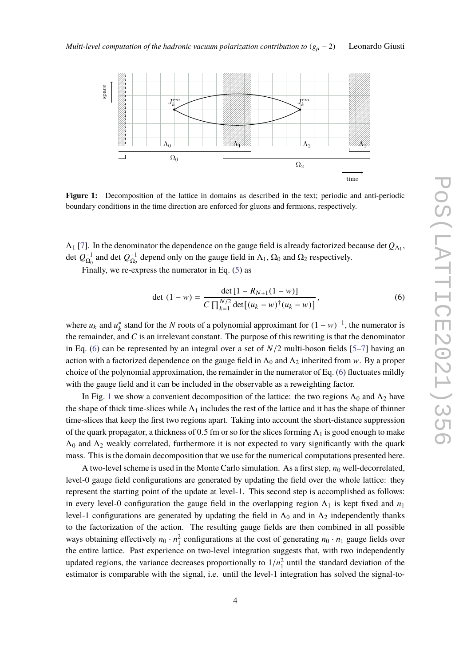<span id="page-3-0"></span>

**Figure 1:** Decomposition of the lattice in domains as described in the text; periodic and anti-periodic boundary conditions in the time direction are enforced for gluons and fermions, respectively.

 $\Lambda_1$  [\[7\]](#page-7-5). In the denominator the dependence on the gauge field is already factorized because det  $Q_{\Lambda_1}$ , det  $Q_{\Omega_0}^{-1}$  and det  $Q_{\Omega_2}^{-1}$  depend only on the gauge field in  $\Lambda_1$ ,  $\Omega_0$  and  $\Omega_2$  respectively.

Finally, we re-express the numerator in Eq. [\(5\)](#page-2-0) as

<span id="page-3-1"></span>
$$
\det (1 - w) = \frac{\det [1 - R_{N+1}(1 - w)]}{C \prod_{k=1}^{N/2} \det [(u_k - w)^{\dagger} (u_k - w)]},
$$
\n(6)

where  $u_k$  and  $u_k^*$ <sup>\*</sup><sub>k</sub> stand for the *N* roots of a polynomial approximant for  $(1 - w)^{-1}$ , the numerator is the remainder, and *C* is an irrelevant constant. The purpose of this rewriting is that the denominator in Eq. [\(6\)](#page-3-1) can be represented by an integral over a set of *<sup>N</sup>*/<sup>2</sup> multi-boson fields [\[5–](#page-7-3)[7\]](#page-7-5) having an action with a factorized dependence on the gauge field in  $\Lambda_0$  and  $\Lambda_2$  inherited from w. By a proper choice of the polynomial approximation, the remainder in the numerator of Eq. [\(6\)](#page-3-1) fluctuates mildly with the gauge field and it can be included in the observable as a reweighting factor.

In Fig. [1](#page-3-0) we show a convenient decomposition of the lattice: the two regions  $\Lambda_0$  and  $\Lambda_2$  have the shape of thick time-slices while  $\Lambda_1$  includes the rest of the lattice and it has the shape of thinner time-slices that keep the first two regions apart. Taking into account the short-distance suppression of the quark propagator, a thickness of 0.5 fm or so for the slices forming  $\Lambda_1$  is good enough to make  $\Lambda_0$  and  $\Lambda_2$  weakly correlated, furthermore it is not expected to vary significantly with the quark mass. This is the domain decomposition that we use for the numerical computations presented here.

A two-level scheme is used in the Monte Carlo simulation. As a first step,  $n_0$  well-decorrelated, level-0 gauge field configurations are generated by updating the field over the whole lattice: they represent the starting point of the update at level-1. This second step is accomplished as follows: in every level-0 configuration the gauge field in the overlapping region  $\Lambda_1$  is kept fixed and  $n_1$ level-1 configurations are generated by updating the field in  $\Lambda_0$  and in  $\Lambda_2$  independently thanks to the factorization of the action. The resulting gauge fields are then combined in all possible ways obtaining effectively  $n_0 \cdot n_1^2$  configurations at the cost of generating  $n_0 \cdot n_1$  gauge fields over the entire lattice. Past experience on two-level integration suggests that, with two independently updated regions, the variance decreases proportionally to  $1/n_1^2$  until the standard deviation of the standard deviation of the standard deviation is comparable with the standard is until the level 1 integration has solv estimator is comparable with the signal, i.e. until the level-1 integration has solved the signal-to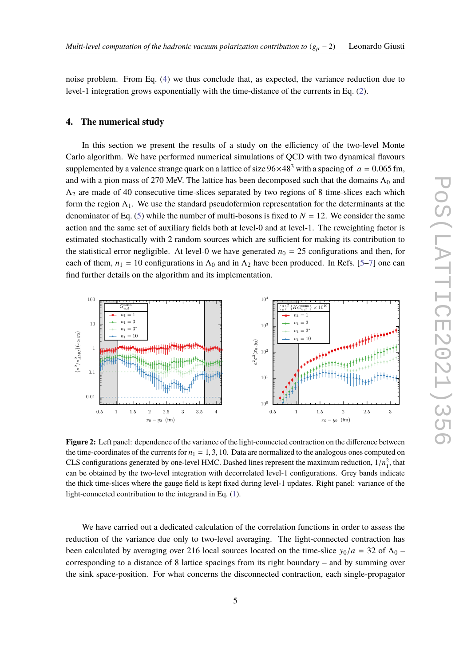noise problem. From Eq. [\(4\)](#page-2-1) we thus conclude that, as expected, the variance reduction due to level-1 integration grows exponentially with the time-distance of the currents in Eq. [\(2\)](#page-2-2).

#### **4. The numerical study**

In this section we present the results of a study on the efficiency of the two-level Monte Carlo algorithm. We have performed numerical simulations of QCD with two dynamical flavours supplemented by a valence strange quark on a lattice of size  $96\times48^3$  with a spacing of  $a = 0.065$  fm, and with a pion mass of 270 MeV. The lattice has been decomposed such that the domains  $\Lambda_0$  and  $\Lambda_2$  are made of 40 consecutive time-slices separated by two regions of 8 time-slices each which form the region  $\Lambda_1$ . We use the standard pseudofermion representation for the determinants at the denominator of Eq. [\(5\)](#page-2-0) while the number of multi-bosons is fixed to  $N = 12$ . We consider the same action and the same set of auxiliary fields both at level-0 and at level-1. The reweighting factor is estimated stochastically with 2 random sources which are sufficient for making its contribution to the statistical error negligible. At level-0 we have generated  $n_0 = 25$  configurations and then, for each of them,  $n_1 = 10$  configurations in  $\Lambda_0$  and in  $\Lambda_2$  have been produced. In Refs. [\[5–](#page-7-3)[7\]](#page-7-5) one can find further details on the algorithm and its implementation.

<span id="page-4-0"></span>

**Figure 2:** Left panel: dependence of the variance of the light-connected contraction on the difference between the time-coordinates of the currents for  $n_1 = 1, 3, 10$ . Data are normalized to the analogous ones computed on CLS configurations generated by one-level HMC. Dashed lines represent the maximum reduction,  $1/n_1^2$ , that can be obtained by the two-level integration with decorrelated level-1 configurations. Grey bands indicate the thick time-slices where the gauge field is kept fixed during level-1 updates. Right panel: variance of the light-connected contribution to the integrand in Eq. [\(1\)](#page-1-0).

We have carried out a dedicated calculation of the correlation functions in order to assess the reduction of the variance due only to two-level averaging. The light-connected contraction has been calculated by averaging over 216 local sources located on the time-slice  $y_0/a = 32$  of  $\Lambda_0$  – corresponding to a distance of 8 lattice spacings from its right boundary – and by summing over the sink space-position. For what concerns the disconnected contraction, each single-propagator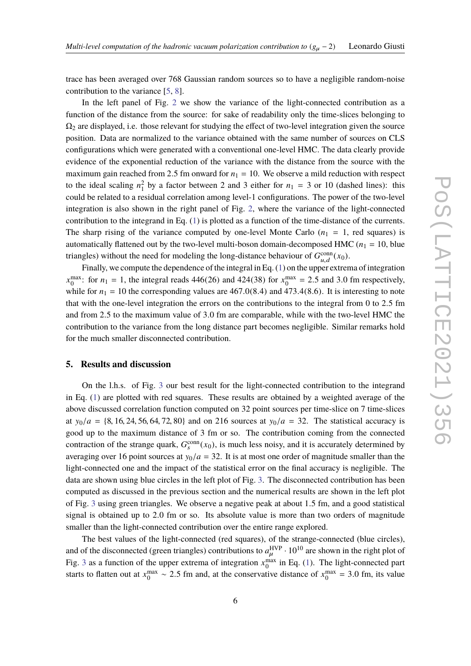trace has been averaged over 768 Gaussian random sources so to have a negligible random-noise contribution to the variance [\[5,](#page-7-3) [8\]](#page-7-6).

In the left panel of Fig. [2](#page-4-0) we show the variance of the light-connected contribution as a function of the distance from the source: for sake of readability only the time-slices belonging to  $\Omega_2$  are displayed, i.e. those relevant for studying the effect of two-level integration given the source position. Data are normalized to the variance obtained with the same number of sources on CLS configurations which were generated with a conventional one-level HMC. The data clearly provide evidence of the exponential reduction of the variance with the distance from the source with the maximum gain reached from 2.5 fm onward for  $n_1 = 10$ . We observe a mild reduction with respect to the ideal scaling  $n_1^2$  by a factor between 2 and 3 either for  $n_1 = 3$  or 10 (dashed lines): this could be related to a residual correlation among level-1 configurations. The power of the two-level integration is also shown in the right panel of Fig. [2,](#page-4-0) where the variance of the light-connected contribution to the integrand in Eq. [\(1\)](#page-1-0) is plotted as a function of the time-distance of the currents. The sharp rising of the variance computed by one-level Monte Carlo  $(n_1 = 1,$  red squares) is automatically flattened out by the two-level multi-boson domain-decomposed HMC  $(n_1 = 10)$ , blue triangles) without the need for modeling the long-distance behaviour of  $G_{u,d}^{\text{conn}}(x_0)$ .

Finally, we compute the dependence of the integral in Eq. [\(1\)](#page-1-0) on the upper extrema of integration  $x_0^{\text{max}}$ : for  $n_1 = 1$ , the integral reads 446(26) and 424(38) for  $x_0^{\text{max}} = 2.5$  and 3.0 fm respectively, while for  $n_1 = 10$  the corresponding values are 467.0(8.4) and 473.4(8.6). It is interesting to note that with the one-level integration the errors on the contributions to the integral from <sup>0</sup> to <sup>2</sup>.<sup>5</sup> fm and from <sup>2</sup>.<sup>5</sup> to the maximum value of <sup>3</sup>.<sup>0</sup> fm are comparable, while with the two-level HMC the contribution to the variance from the long distance part becomes negligible. Similar remarks hold for the much smaller disconnected contribution.

#### **5. Results and discussion**

On the l.h.s. of Fig. [3](#page-6-0) our best result for the light-connected contribution to the integrand in Eq. [\(1\)](#page-1-0) are plotted with red squares. These results are obtained by a weighted average of the above discussed correlation function computed on 32 point sources per time-slice on 7 time-slices at  $y_0/a = \{8, 16, 24, 56, 64, 72, 80\}$  and on 216 sources at  $y_0/a = 32$ . The statistical accuracy is good up to the maximum distance of 3 fm or so. The contribution coming from the connected contraction of the strange quark,  $G_s^{\text{conn}}(x_0)$ , is much less noisy, and it is accurately determined by averaging over 16 point sources at  $y_0/a = 32$ . It is at most one order of magnitude smaller than the light-connected one and the impact of the statistical error on the final accuracy is negligible. The data are shown using blue circles in the left plot of Fig. [3.](#page-6-0) The disconnected contribution has been computed as discussed in the previous section and the numerical results are shown in the left plot of Fig. [3](#page-6-0) using green triangles. We observe a negative peak at about <sup>1</sup>.<sup>5</sup> fm, and a good statistical signal is obtained up to <sup>2</sup>.<sup>0</sup> fm or so. Its absolute value is more than two orders of magnitude smaller than the light-connected contribution over the entire range explored.

The best values of the light-connected (red squares), of the strange-connected (blue circles), and of the disconnected (green triangles) contributions to  $a<sub>u</sub><sup>HVP</sup> \cdot 10<sup>10</sup>$  are shown in the right plot of Fig. [3](#page-6-0) as a function of the upper extrema of integration  $x_0^{\text{max}}$  in Eq. [\(1\)](#page-1-0). The light-connected part starts to flatten out at  $x_0^{\text{max}} \sim 2.5$  fm and, at the conservative distance of  $x_0^{\text{max}} = 3.0$  fm, its value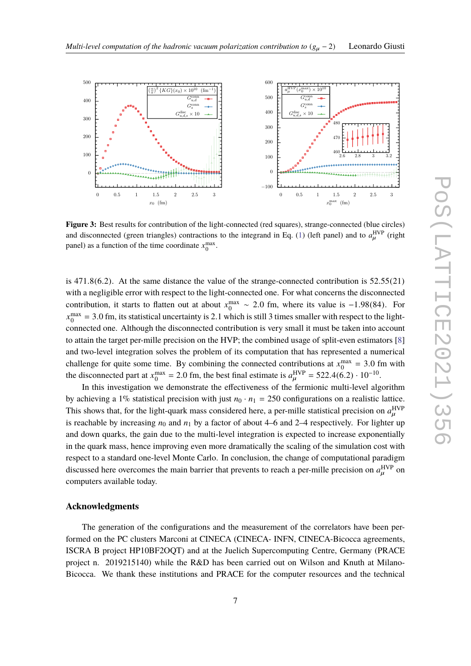<span id="page-6-0"></span>

**Figure 3:** Best results for contribution of the light-connected (red squares), strange-connected (blue circles) and disconnected (green triangles) contractions to the integrand in Eq. [\(1\)](#page-1-0) (left panel) and to  $a<sub>u</sub><sup>HVP</sup>$  $\mu^{\rm HVP}$  (right panel) as a function of the time coordinate  $x_0^{\text{max}}$ .

is  $471.8(6.2)$ . At the same distance the value of the strange-connected contribution is  $52.55(21)$ with a negligible error with respect to the light-connected one. For what concerns the disconnected contribution, it starts to flatten out at about  $x_0^{\text{max}} \sim 2.0$  fm, where its value is −1.98(84). For  $x^{\text{max}} - 2.0$  fm, its statistical upcontribution of  $x^{\text{max}}$  of  $x^{\text{min}}$  is at 11.2 times amollog with measant to  $x_0^{\text{max}} = 3.0$  fm, its statistical uncertainty is 2.1 which is still 3 times smaller with respect to the light-<br>connected and Although the disconnected contribution is you small it must be taken into account connected one. Although the disconnected contribution is very small it must be taken into account to attain the target per-mille precision on the HVP; the combined usage of split-even estimators [\[8\]](#page-7-6) and two-level integration solves the problem of its computation that has represented a numerical challenge for quite some time. By combining the connected contributions at  $x_0^{\text{max}} = 3.0$  fm with the disconnected part at  $x_0^{\text{max}} = 2.0$  fm, the best final estimate is  $a_{\mu}^{\text{HVP}} = 522.4(6.2) \cdot 10^{-10}$ .

In this investigation we demonstrate the effectiveness of the fermionic multi-level algorithm by achieving a 1% statistical precision with just  $n_0 \cdot n_1 = 250$  configurations on a realistic lattice. This shows that, for the light-quark mass considered here, a per-mille statistical precision on  $a_{\mu}^{\rm HVP}$ is reachable by increasing  $n_0$  and  $n_1$  by a factor of about 4–6 and 2–4 respectively. For lighter up and down quarks, the gain due to the multi-level integration is expected to increase exponentially in the quark mass, hence improving even more dramatically the scaling of the simulation cost with respect to a standard one-level Monte Carlo. In conclusion, the change of computational paradigm discussed here overcomes the main barrier that prevents to reach a per-mille precision on  $a_{\mu}^{\text{HVP}}$  on computers available today. computers available today.

# **Acknowledgments**

The generation of the configurations and the measurement of the correlators have been performed on the PC clusters Marconi at CINECA (CINECA- INFN, CINECA-Bicocca agreements, ISCRA B project HP10BF2OQT) and at the Juelich Supercomputing Centre, Germany (PRACE project n. 2019215140) while the R&D has been carried out on Wilson and Knuth at Milano-Bicocca. We thank these institutions and PRACE for the computer resources and the technical